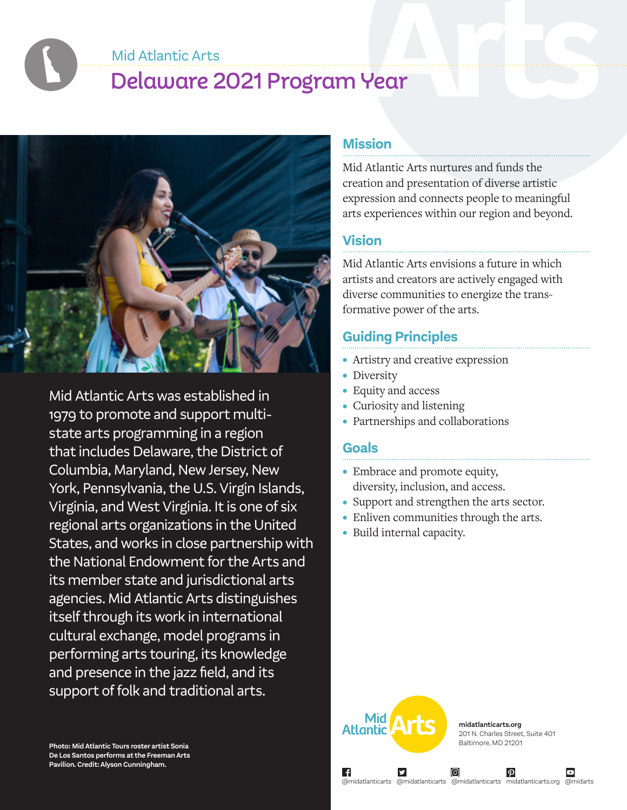Mid Atlantic Arts

# Delaware 2021 Program Year



Mid Atlantic Arts was established in 1979 to promote and support multistate arts programming in a region that includes Delaware, the District of Columbia, Maryland, New Jersey, New York, Pennsylvania, the U.S. Virgin Islands, Virginia, and West Virginia. It is one of six regional arts organizations in the United States, and works in close partnership with the National Endowment for the Arts and its member state and jurisdictional arts agencies. Mid Atlantic Arts distinguishes itself through its work in international cultural exchange, model programs in performing arts touring, its knowledge and presence in the jazz field, and its support of folk and traditional arts.

**Photo: Mid Atlantic Tours roster artist Sonia De Los Santos performs at the Freeman Arts Pavilion. Credit: Alyson Cunningham.**

#### **Mission**

Mid Atlantic Arts nurtures and funds the creation and presentation of diverse artistic expression and connects people to meaningful arts experiences within our region and beyond.

#### **Vision**

Mid Atlantic Arts envisions a future in which artists and creators are actively engaged with diverse communities to energize the transformative power of the arts.

### **Guiding Principles**

- Artistry and creative expression
- Diversity
- Equity and access
- Curiosity and listening
- Partnerships and collaborations

#### **Goals**

- Embrace and promote equity, diversity, inclusion, and access.
- Support and strengthen the arts sector.
- Enliven communities through the arts.
- Build internal capacity.



**midatlanticarts.org** 201 N. Charles Street, Suite 401 Baltimore, MD 21201